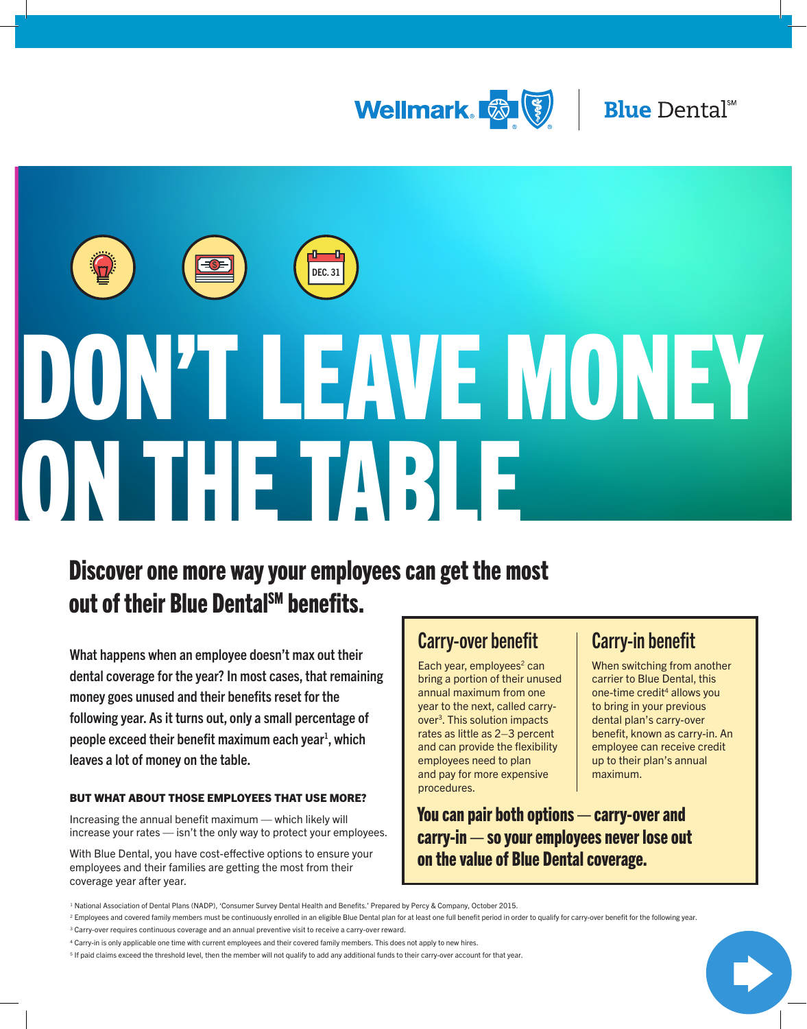



# DON'T LEAVE MONEY ON THE TABLE

# Discover one more way your employees can get the most out of their Blue DentalSM benefits.

What happens when an employee doesn't max out their dental coverage for the year? In most cases, that remaining money goes unused and their benefits reset for the following year. As it turns out, only a small percentage of people exceed their benefit maximum each year<sup>1</sup>, which leaves a lot of money on the table.

### BUT WHAT ABOUT THOSE EMPLOYEES THAT USE MORE?

Increasing the annual benefit maximum — which likely will increase your rates — isn't the only way to protect your employees.

With Blue Dental, you have cost-effective options to ensure your employees and their families are getting the most from their coverage year after year.

# Carry-over benefit

Each year, employees $2$  can bring a portion of their unused annual maximum from one year to the next, called carryover[3.](#page-0-1) This solution impacts rates as little as 2–3 percent and can provide the flexibility employees need to plan and pay for more expensive procedures.

# Carry-in benefit

When switching from another carrier to Blue Dental, this one-time credit<sup>4</sup> allows you to bring in your previous dental plan's carry-over benefit, known as carry-in. An employee can receive credit up to their plan's annual maximum.

You can pair both options — carry-over and carry-in — so your employees never lose out on the value of Blue Dental coverage.

<sup>1</sup> National Association of Dental Plans (NADP), 'Consumer Survey Dental Health and Benefits.' Prepared by Percy & Company, October 2015.

<span id="page-0-0"></span><sup>&</sup>lt;sup>2</sup> Employees and covered family members must be continuously enrolled in an eligible Blue Dental plan for at least one full benefit period in order to qualify for carry-over benefit for the following year.  $3$  Carry-over requires continuous coverage and an annual preventive visit to receive a carry-over reward.

<span id="page-0-2"></span><span id="page-0-1"></span><sup>4</sup> Carry-in is only applicable one time with current employees and their covered family members. This does not apply to new hires.

<span id="page-0-3"></span><sup>&</sup>lt;sup>5</sup> If paid claims exceed the threshold level, then the member will not qualify to add any additional funds to their carry-over account for that year.